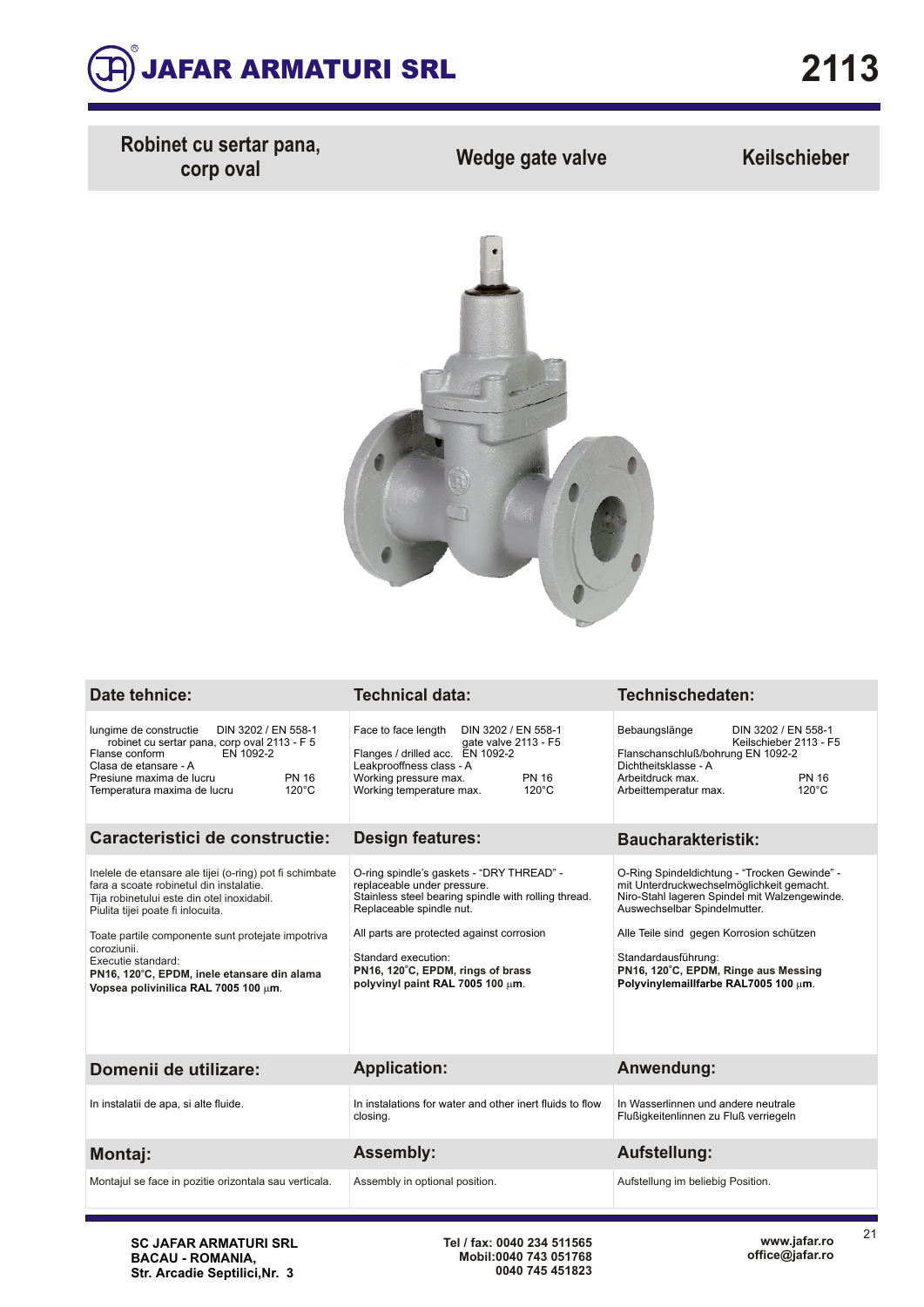

**Robinet cu sertar pana,**

**corp oval Wedge gate valve Keilschieber**



| Date tehnice:                                                                                                                                                                                                                                                                                                                                                          | <b>Technical data:</b>                                                                                                                                                                                                                                                                                    | Technischedaten:                                                                                                                                                                                                                                                                                                              |  |  |  |
|------------------------------------------------------------------------------------------------------------------------------------------------------------------------------------------------------------------------------------------------------------------------------------------------------------------------------------------------------------------------|-----------------------------------------------------------------------------------------------------------------------------------------------------------------------------------------------------------------------------------------------------------------------------------------------------------|-------------------------------------------------------------------------------------------------------------------------------------------------------------------------------------------------------------------------------------------------------------------------------------------------------------------------------|--|--|--|
| lungime de constructie<br>DIN 3202 / EN 558-1<br>robinet cu sertar pana, corp oval 2113 - F 5<br>Flanse conform<br>EN 1092-2<br>Clasa de etansare - A<br><b>PN 16</b><br>Presiune maxima de lucru<br>$120^{\circ}$ C<br>Temperatura maxima de lucru                                                                                                                    | Face to face length<br>DIN 3202 / EN 558-1<br>gate valve 2113 - F5<br>Flanges / drilled acc. EN 1092-2<br>Leakprooffness class - A<br><b>PN 16</b><br>Working pressure max.<br>$120^{\circ}$ C<br>Working temperature max.                                                                                | Bebaungslänge<br>DIN 3202 / EN 558-1<br>Keilschieber 2113 - F5<br>Flanschanschluß/bohrung EN 1092-2<br>Dichtheitsklasse - A<br><b>PN 16</b><br>Arbeitdruck max.<br>$120^{\circ}$ C<br>Arbeittemperatur max.                                                                                                                   |  |  |  |
| Caracteristici de constructie:                                                                                                                                                                                                                                                                                                                                         | <b>Design features:</b>                                                                                                                                                                                                                                                                                   | <b>Baucharakteristik:</b>                                                                                                                                                                                                                                                                                                     |  |  |  |
| Inelele de etansare ale tijei (o-ring) pot fi schimbate<br>fara a scoate robinetul din instalatie.<br>Tija robinetului este din otel inoxidabil.<br>Piulita tijei poate fi inlocuita.<br>Toate partile componente sunt protejate impotriva<br>coroziunii.<br>Executie standard:<br>PN16, 120°C, EPDM, inele etansare din alama<br>Vopsea polivinilica RAL 7005 100 µm. | O-ring spindle's gaskets - "DRY THREAD" -<br>replaceable under pressure.<br>Stainless steel bearing spindle with rolling thread.<br>Replaceable spindle nut.<br>All parts are protected against corrosion<br>Standard execution:<br>PN16, 120°C, EPDM, rings of brass<br>polyvinyl paint RAL 7005 100 um. | O-Ring Spindeldichtung - "Trocken Gewinde" -<br>mit Unterdruckwechselmöglichkeit gemacht.<br>Niro-Stahl lageren Spindel mit Walzengewinde.<br>Auswechselbar Spindelmutter.<br>Alle Teile sind gegen Korrosion schützen<br>Standardausführung:<br>PN16, 120°C, EPDM, Ringe aus Messing<br>Polyvinylemaillfarbe RAL7005 100 um. |  |  |  |
| Domenii de utilizare:                                                                                                                                                                                                                                                                                                                                                  | <b>Application:</b>                                                                                                                                                                                                                                                                                       | Anwendung:                                                                                                                                                                                                                                                                                                                    |  |  |  |
| In instalatii de apa, si alte fluide.                                                                                                                                                                                                                                                                                                                                  | In instalations for water and other inert fluids to flow<br>closing.                                                                                                                                                                                                                                      | In Wasserlinnen und andere neutrale<br>Flußigkeitenlinnen zu Fluß verriegeln                                                                                                                                                                                                                                                  |  |  |  |
| <b>Montaj:</b>                                                                                                                                                                                                                                                                                                                                                         | <b>Assembly:</b>                                                                                                                                                                                                                                                                                          | <b>Aufstellung:</b>                                                                                                                                                                                                                                                                                                           |  |  |  |
| Montajul se face in pozitie orizontala sau verticala.                                                                                                                                                                                                                                                                                                                  | Assembly in optional position.                                                                                                                                                                                                                                                                            | Aufstellung im beliebig Position.                                                                                                                                                                                                                                                                                             |  |  |  |

**SC JAFAR ARMATURI SRL BACAU - ROMANIA, Str. Arcadie Septilici,Nr. 3**

**Tel / fax: 0040 234 511565 Mobil:0040 743 051768 0040 745 451823** 21